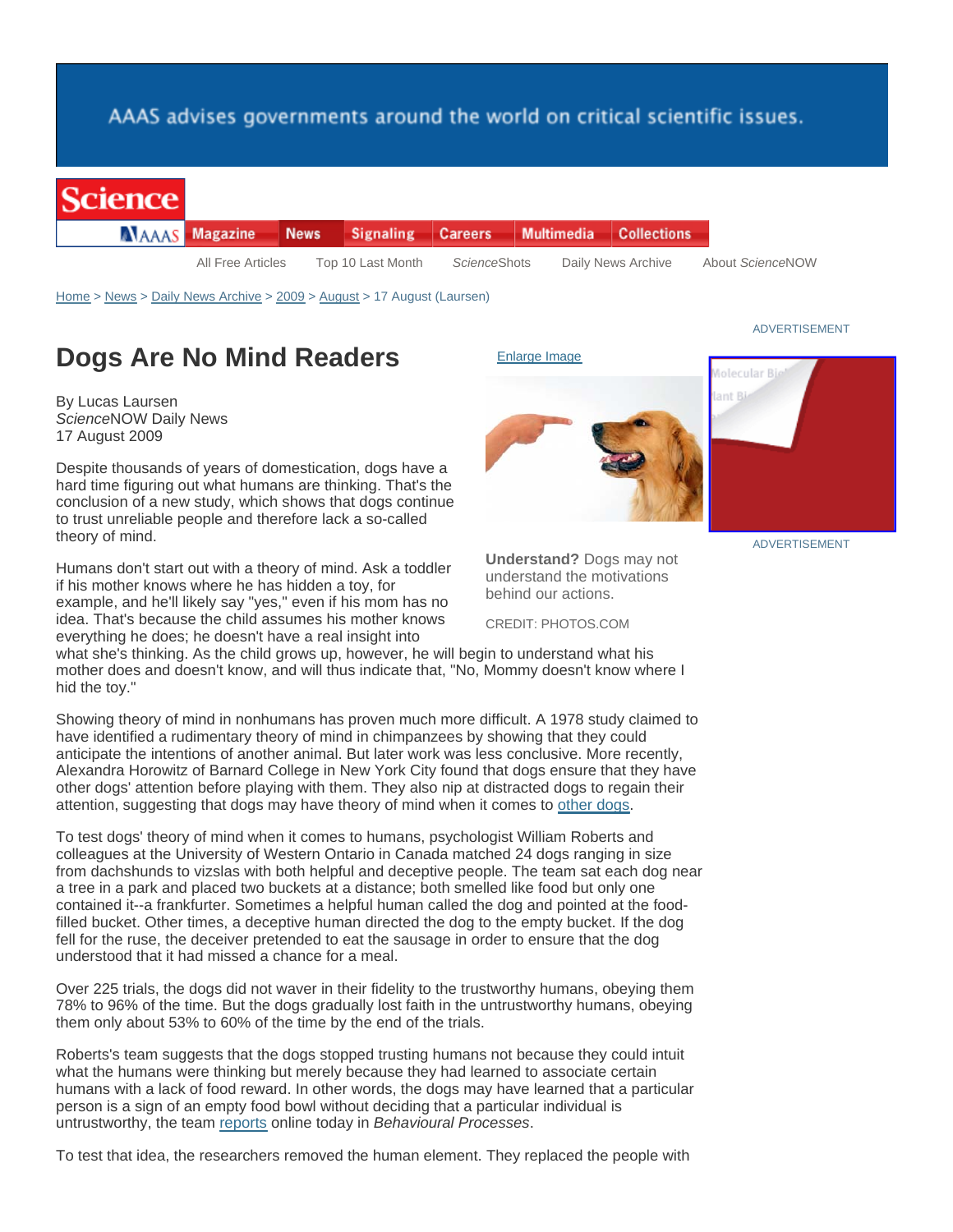## AAAS advises governments around the world on critical scientific issues.

|  | scienc |  |
|--|--------|--|
|  |        |  |
|  |        |  |

|  | <b>NAAAS</b> Magazine | News Signaling Careers Multimedia Collections |                      |  |                    |
|--|-----------------------|-----------------------------------------------|----------------------|--|--------------------|
|  | All Free Articles     | Top 10 Last Month                             | <i>Science</i> Shots |  | Daily News Archive |

Home > News > Daily News Archive > 2009 > August > 17 August (Laursen)

## **Dogs Are No Mind Readers**

By Lucas Laursen *Science*NOW Daily News 17 August 2009

Despite thousands of years of domestication, dogs have a hard time figuring out what humans are thinking. That's the conclusion of a new study, which shows that dogs continue to trust unreliable people and therefore lack a so-called theory of mind.

Humans don't start out with a theory of mind. Ask a toddler if his mother knows where he has hidden a toy, for example, and he'll likely say "yes," even if his mom has no idea. That's because the child assumes his mother knows everything he does; he doesn't have a real insight into



**Understand?** Dogs may not understand the motivations behind our actions.

CREDIT: PHOTOS.COM

what she's thinking. As the child grows up, however, he will begin to understand what his mother does and doesn't know, and will thus indicate that, "No, Mommy doesn't know where I hid the toy."

Showing theory of mind in nonhumans has proven much more difficult. A 1978 study claimed to have identified a rudimentary theory of mind in chimpanzees by showing that they could anticipate the intentions of another animal. But later work was less conclusive. More recently, Alexandra Horowitz of Barnard College in New York City found that dogs ensure that they have other dogs' attention before playing with them. They also nip at distracted dogs to regain their attention, suggesting that dogs may have theory of mind when it comes to other dogs.

To test dogs' theory of mind when it comes to humans, psychologist William Roberts and colleagues at the University of Western Ontario in Canada matched 24 dogs ranging in size from dachshunds to vizslas with both helpful and deceptive people. The team sat each dog near a tree in a park and placed two buckets at a distance; both smelled like food but only one contained it--a frankfurter. Sometimes a helpful human called the dog and pointed at the foodfilled bucket. Other times, a deceptive human directed the dog to the empty bucket. If the dog fell for the ruse, the deceiver pretended to eat the sausage in order to ensure that the dog understood that it had missed a chance for a meal.

Over 225 trials, the dogs did not waver in their fidelity to the trustworthy humans, obeying them 78% to 96% of the time. But the dogs gradually lost faith in the untrustworthy humans, obeying them only about 53% to 60% of the time by the end of the trials.

Roberts's team suggests that the dogs stopped trusting humans not because they could intuit what the humans were thinking but merely because they had learned to associate certain humans with a lack of food reward. In other words, the dogs may have learned that a particular person is a sign of an empty food bowl without deciding that a particular individual is untrustworthy, the team reports online today in *Behavioural Processes*.

To test that idea, the researchers removed the human element. They replaced the people with

## ADVERTISEMENT



ADVERTISEMENT